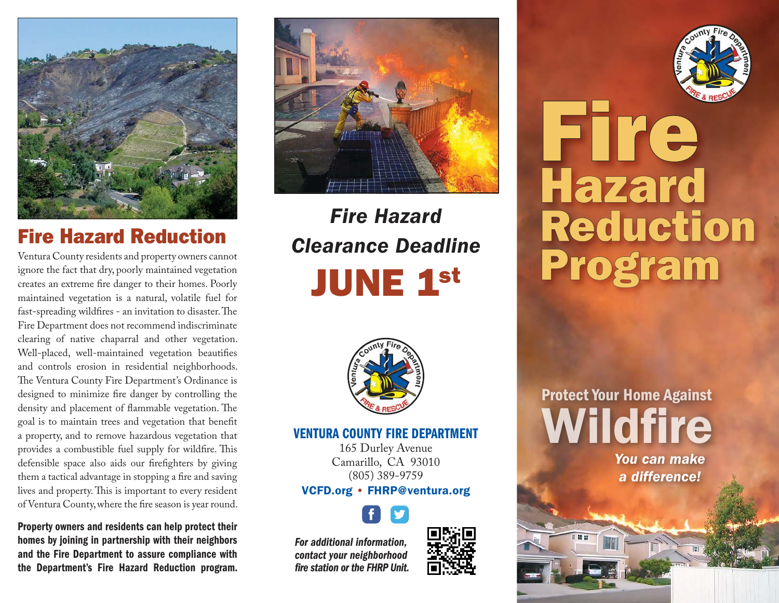

## Fire Hazard Reduction

Ventura County residents and property owners cannot ignore the fact that dry, poorly maintained vegetation creates an extreme fire danger to their homes. Poorly maintained vegetation is a natural, volatile fuel for fast-spreading wildfires - an invitation to disaster. The Fire Department does not recommend indiscriminate clearing of native chaparral and other vegetation. Well-placed, well-maintained vegetation beautifies and controls erosion in residential neighborhoods. The Ventura County Fire Department's Ordinance is designed to minimize fire danger by controlling the density and placement of flammable vegetation. The goal is to maintain trees and vegetation that benefit a property, and to remove hazardous vegetation that provides a combustible fuel supply for wildfire. This defensible space also aids our firefighters by giving them a tactical advantage in stopping a fire and saving lives and property. This is important to every resident of Ventura County, where the fire season is year round.

Property owners and residents can help protect their homes by joining in partnership with their neighbors and the Fire Department to assure compliance with the Department's Fire Hazard Reduction program.



# Fire Hazard Clearance Deadline **JUNE 1st**



#### VENTURA COUNTY FIRE DEPARTMENT

165 Durley Avenue Camarillo, CA 93010 (805) 389-9759

#### VCFD.org • FHRP@ventura.org



For additional information, contact your neighborhood fire station or the FHRP Unit.





Protect Your Home Against Wildfire

You can make a difference!